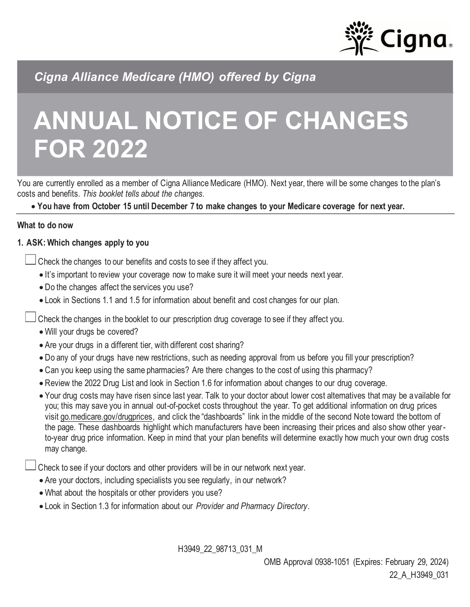

 *Cigna Alliance Medicare (HMO) offered by Cigna* 

# **ANNUAL NOTICE OF CHANGES FOR 2022**

 You are currently enrolled as a member of Cigna Alliance Medicare (HMO). Next year, there will be some changes to the plan's costs and benefits. *This booklet tells about the changes.* 

 • **You have from October 15 until December 7 to make changes to your Medicare coverage for next year.** 

#### **What to do now**

## **1. ASK: Which changes apply to you**

Check the changes to our benefits and costs to see if they affect you.

- It's important to review your coverage now to make sure it will meet your needs next year.
- Do the changes affect the services you use?
- Look in Sections 1.1 and 1.5 for information about benefit and cost changes for our plan.

Check the changes in the booklet to our prescription drug coverage to see if they affect you.

- Will your drugs be covered?
- Are your drugs in a different tier, with different cost sharing?
- Do any of your drugs have new restrictions, such as needing approval from us before you fill your prescription?
- Can you keep using the same pharmacies? Are there changes to the cost of using this pharmacy?
- Review the 2022 Drug List and look in Section 1.6 for information about changes to our drug coverage.
- • Your drug costs may have risen since last year. Talk to your doctor about lower cost alternatives that may be available for you; this may save you in annual out-of-pocket costs throughout the year. To get additional information on drug prices visit [go.medicare.gov/drugprices,](go.medicare.gov/drugprices) and click the "dashboards" link in the middle of the second Note toward the bottom of the page. These dashboards highlight which manufacturers have been increasing their prices and also show other year- to-year drug price information. Keep in mind that your plan benefits will determine exactly how much your own drug costs may change.

Check to see if your doctors and other providers will be in our network next year.

- Are your doctors, including specialists you see regularly, in our network?
- What about the hospitals or other providers you use?
- Look in Section 1.3 for information about our *Provider and Pharmacy Directory*.

H3949\_22\_98713\_031\_M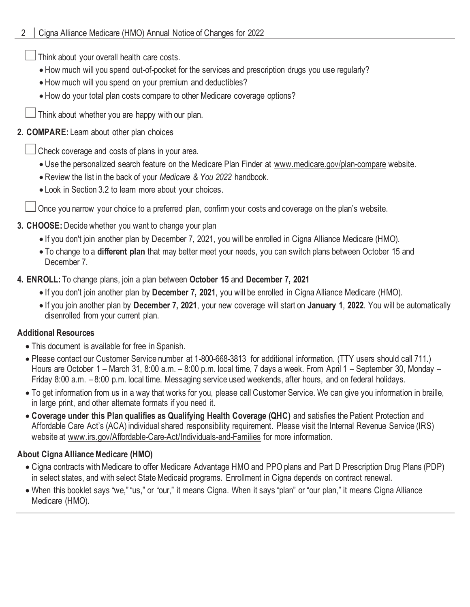Think about your overall health care costs.

- How much will you spend out-of-pocket for the services and prescription drugs you use regularly?
- How much will you spend on your premium and deductibles?
- How do your total plan costs compare to other Medicare coverage options?

Think about whether you are happy with our plan.

## **2. COMPARE:** Learn about other plan choices

Check coverage and costs of plans in your area.

- Use the personalized search feature on the Medicare Plan Finder at www.medicare.gov/plan-compare website.
- Review the list in the back of your *Medicare & You 2022* handbook.
- Look in Section 3.2 to learn more about your choices.

Once you narrow your choice to a preferred plan, confirm your costs and coverage on the plan's website.

# **3. CHOOSE:** Decide whether you want to change your plan

- If you don't join another plan by December 7, 2021, you will be enrolled in Cigna Alliance Medicare (HMO).
- • To change to a **different plan** that may better meet your needs, you can switch plans between October 15 and December 7.
- **4. ENROLL:** To change plans, join a plan between **October 15** and **December 7, 2021** 
	- If you don't join another plan by **December 7, 2021**, you will be enrolled in Cigna Alliance Medicare (HMO).
	- • If you join another plan by **December 7, 2021**, your new coverage will start on **January 1**, **2022**. You will be automatically disenrolled from your current plan.

# **Additional Resources**

- This document is available for free in Spanish.
- • Please contact our Customer Service number at 1-800-668-3813 for additional information. (TTY users should call 711.) Hours are October 1 – March 31, 8:00 a.m. – 8:00 p.m. local time, 7 days a week. From April 1 – September 30, Monday – Friday 8:00 a.m. – 8:00 p.m. local time. Messaging service used weekends, after hours, and on federal holidays.
- • To get information from us in a way that works for you, please call Customer Service. We can give you information in braille, in large print, and other alternate formats if you need it.
- **Coverage under this Plan qualifies as Qualifying Health Coverage (QHC)** and satisfies the Patient Protection and Affordable Care Act's (ACA) individual shared responsibility requirement. Please visit the Internal Revenue Service (IRS) website at www.irs.gov/Affordable-Care-Act/Individuals-and-Families for more information.

# **About Cigna Alliance Medicare (HMO)**

- • Cigna contracts with Medicare to offer Medicare Advantage HMO and PPO plans and Part D Prescription Drug Plans (PDP) in select states, and with select State Medicaid programs. Enrollment in Cigna depends on contract renewal.
- • When this booklet says "we," "us," or "our," it means Cigna*.* When it says "plan" or "our plan," it means Cigna Alliance Medicare (HMO).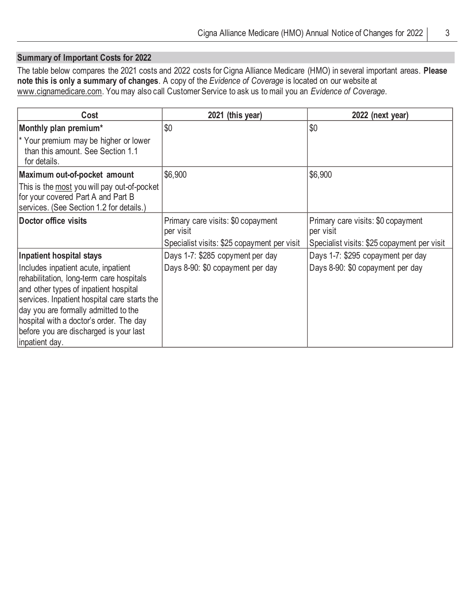#### **Summary of Important Costs for 2022**

 The table below compares the 2021 costs and 2022 costs for Cigna Alliance Medicare (HMO) in several important areas. **Please note this is only a summary of changes**. A copy of the *Evidence of Coverage* is located on our website at [www.cignamedicare.com.](www.cignamedicare.com) You may also call Customer Service to ask us to mail you an *Evidence of Coverage*.

| Cost                                                                                                                                                                                                                                                                                                                    | 2021 (this year)                                | 2022 (next year)                                |
|-------------------------------------------------------------------------------------------------------------------------------------------------------------------------------------------------------------------------------------------------------------------------------------------------------------------------|-------------------------------------------------|-------------------------------------------------|
| Monthly plan premium*                                                                                                                                                                                                                                                                                                   | \$0                                             | \$0                                             |
| * Your premium may be higher or lower<br>than this amount. See Section 1.1<br>for details.                                                                                                                                                                                                                              |                                                 |                                                 |
| Maximum out-of-pocket amount                                                                                                                                                                                                                                                                                            | \$6,900                                         | \$6,900                                         |
| This is the most you will pay out-of-pocket<br>for your covered Part A and Part B<br>services. (See Section 1.2 for details.)                                                                                                                                                                                           |                                                 |                                                 |
| Doctor office visits                                                                                                                                                                                                                                                                                                    | Primary care visits: \$0 copayment<br>per visit | Primary care visits: \$0 copayment<br>per visit |
|                                                                                                                                                                                                                                                                                                                         | Specialist visits: \$25 copayment per visit     | Specialist visits: \$25 copayment per visit     |
| <b>Inpatient hospital stays</b>                                                                                                                                                                                                                                                                                         | Days 1-7: \$285 copyment per day                | Days 1-7: \$295 copayment per day               |
| Includes inpatient acute, inpatient<br>rehabilitation, long-term care hospitals<br>and other types of inpatient hospital<br>services. Inpatient hospital care starts the<br>day you are formally admitted to the<br>hospital with a doctor's order. The day<br>before you are discharged is your last<br>inpatient day. | Days 8-90: \$0 copayment per day                | Days 8-90: \$0 copayment per day                |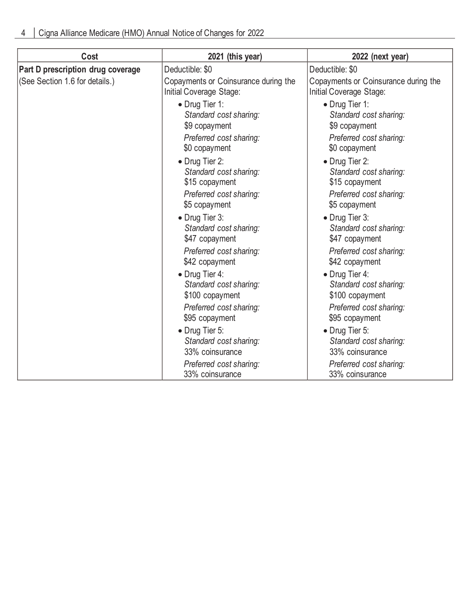| Cost                              | 2021 (this year)                                                                                      | 2022 (next year)                                                                                      |
|-----------------------------------|-------------------------------------------------------------------------------------------------------|-------------------------------------------------------------------------------------------------------|
| Part D prescription drug coverage | Deductible: \$0                                                                                       | Deductible: \$0                                                                                       |
| (See Section 1.6 for details.)    | Copayments or Coinsurance during the<br>Initial Coverage Stage:                                       | Copayments or Coinsurance during the<br>Initial Coverage Stage:                                       |
|                                   | • Drug Tier 1:<br>Standard cost sharing:<br>\$9 copayment<br>Preferred cost sharing:<br>\$0 copayment | • Drug Tier 1:<br>Standard cost sharing:<br>\$9 copayment<br>Preferred cost sharing:<br>\$0 copayment |
|                                   | • Drug Tier 2:<br>Standard cost sharing:<br>\$15 copayment<br>Preferred cost sharing:                 | • Drug Tier 2:<br>Standard cost sharing:<br>\$15 copayment<br>Preferred cost sharing:                 |
|                                   | \$5 copayment                                                                                         | \$5 copayment                                                                                         |
|                                   | • Drug Tier 3:<br>Standard cost sharing:<br>\$47 copayment                                            | • Drug Tier 3:<br>Standard cost sharing:<br>\$47 copayment                                            |
|                                   | Preferred cost sharing:<br>\$42 copayment                                                             | Preferred cost sharing:<br>\$42 copayment                                                             |
|                                   | • Drug Tier 4:<br>Standard cost sharing:<br>\$100 copayment                                           | • Drug Tier 4:<br>Standard cost sharing:<br>\$100 copayment                                           |
|                                   | Preferred cost sharing:<br>\$95 copayment                                                             | Preferred cost sharing:<br>\$95 copayment                                                             |
|                                   | • Drug Tier 5:<br>Standard cost sharing:<br>33% coinsurance                                           | • Drug Tier 5:<br>Standard cost sharing:<br>33% coinsurance                                           |
|                                   | Preferred cost sharing:<br>33% coinsurance                                                            | Preferred cost sharing:<br>33% coinsurance                                                            |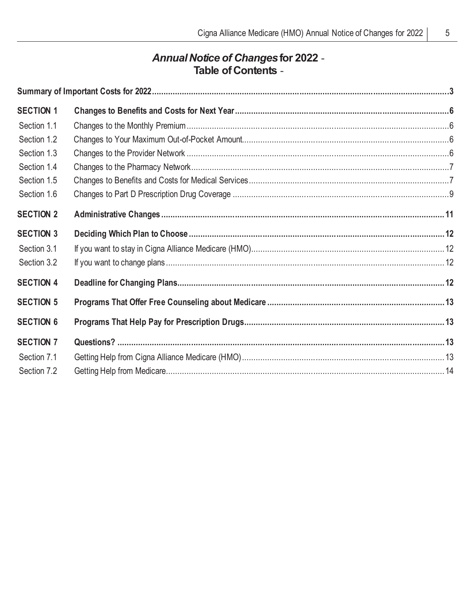$\overline{5}$ 

# Annual Notice of Changes for 2022 -<br>- Table of Contents

| <b>SECTION 1</b> |  |
|------------------|--|
| Section 1.1      |  |
| Section 1.2      |  |
| Section 1.3      |  |
| Section 1.4      |  |
| Section 1.5      |  |
| Section 1.6      |  |
| <b>SECTION 2</b> |  |
| <b>SECTION 3</b> |  |
| Section 3.1      |  |
| Section 3.2      |  |
| <b>SECTION 4</b> |  |
| <b>SECTION 5</b> |  |
| <b>SECTION 6</b> |  |
| <b>SECTION 7</b> |  |
| Section 7.1      |  |
| Section 7.2      |  |
|                  |  |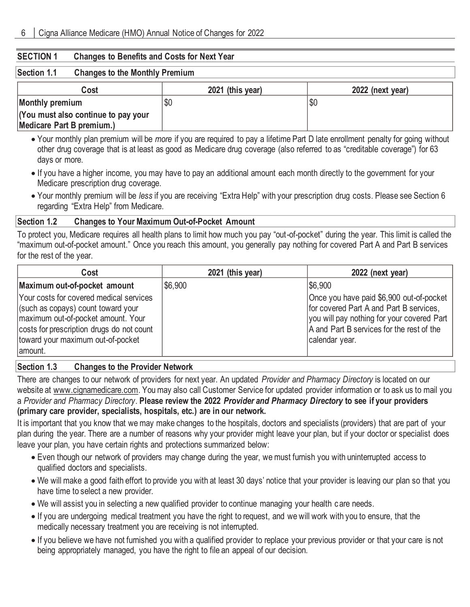#### **SECTION 1 Changes to Benefits and Costs for Next Year**

# **Section 1.1 Changes to the Monthly Premium**

| Cost                                | 2021 (this year) | 2022 (next year) |
|-------------------------------------|------------------|------------------|
| Monthly premium                     | \$0              | \$0              |
| (You must also continue to pay your |                  |                  |
| Medicare Part B premium.)           |                  |                  |

- • Your monthly plan premium will be *more* if you are required to pay a lifetime Part D late enrollment penalty for going without other drug coverage that is at least as good as Medicare drug coverage (also referred to as "creditable coverage") for 63 days or more.
- • If you have a higher income, you may have to pay an additional amount each month directly to the government for your Medicare prescription drug coverage.
- • Your monthly premium will be *less* if you are receiving "Extra Help" with your prescription drug costs. Please see Section 6 regarding "Extra Help" from Medicare.

#### **Section 1.2 Changes to Your Maximum Out-of-Pocket Amount**

 To protect you, Medicare requires all health plans to limit how much you pay "out-of-pocket" during the year. This limit is called the "maximum out-of-pocket amount." Once you reach this amount, you generally pay nothing for covered Part A and Part B services for the rest of the year.

| Cost                                                                                                                                                                                                             | 2021 (this year) | 2022 (next year)                                                                                                                                                                                 |
|------------------------------------------------------------------------------------------------------------------------------------------------------------------------------------------------------------------|------------------|--------------------------------------------------------------------------------------------------------------------------------------------------------------------------------------------------|
| Maximum out-of-pocket amount                                                                                                                                                                                     | \$6,900          | \$6,900                                                                                                                                                                                          |
| Your costs for covered medical services<br>(such as copays) count toward your<br>maximum out-of-pocket amount. Your<br>costs for prescription drugs do not count<br>toward your maximum out-of-pocket<br>amount. |                  | Once you have paid \$6,900 out-of-pocket<br>for covered Part A and Part B services,<br>you will pay nothing for your covered Part<br>A and Part B services for the rest of the<br>calendar year. |

#### **Section 1.3 Changes to the Provider Network**

 There are changes to our network of providers for next year. An updated *Provider and Pharmacy Directory* is located on our website at [www.cignamedicare.com.](www.cignamedicare.com) You may also call Customer Service for updated provider information or to ask us to mail you  a *Provider and Pharmacy Directory*. **Please review the 2022** *Provider and Pharmacy Directory* **to see if your providers (primary care provider, specialists, hospitals, etc.) are in our network.** 

 It is important that you know that we may make changes to the hospitals, doctors and specialists (providers) that are part of your plan during the year. There are a number of reasons why your provider might leave your plan, but if your doctor or specialist does leave your plan, you have certain rights and protections summarized below:

- • Even though our network of providers may change during the year, we must furnish you with uninterrupted access to qualified doctors and specialists.
- • We will make a good faith effort to provide you with at least 30 days' notice that your provider is leaving our plan so that you have time to select a new provider.
- We will assist you in selecting a new qualified provider to continue managing your health c are needs.
- • If you are undergoing medical treatment you have the right to request, and we will work with you to ensure, that the medically necessary treatment you are receiving is not interrupted.
- • If you believe we have not furnished you with a qualified provider to replace your previous provider or that your care is not being appropriately managed, you have the right to file an appeal of our decision.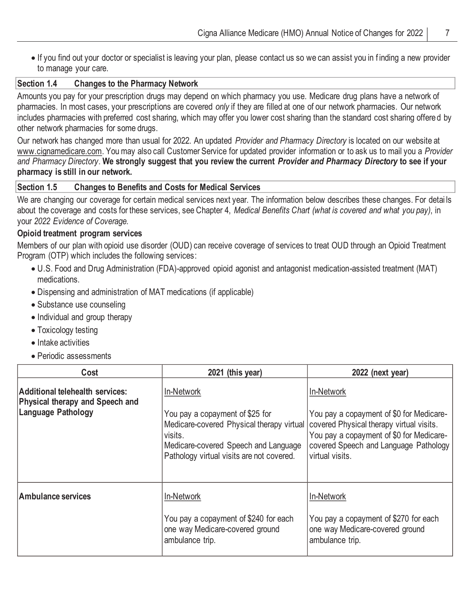• If you find out your doctor or specialist is leaving your plan, please contact us so we can assist you in f inding a new provider to manage your care.

### **Section 1.4 Changes to the Pharmacy Network**

 Amounts you pay for your prescription drugs may depend on which pharmacy you use. Medicare drug plans have a network of pharmacies. In most cases, your prescriptions are covered *only* if they are filled at one of our network pharmacies. Our network includes pharmacies with preferred cost sharing, which may offer you lower cost sharing than the standard cost sharing offere d by other network pharmacies for some drugs.

 Our network has changed more than usual for 2022. An updated *Provider and Pharmacy Directory* is located on our website at [www.cignamedicare.com.](www.cignamedicare.com) You may also call Customer Service for updated provider information or to ask us to mail you a *Provider and Pharmacy Directory*. **We strongly suggest that you review the current** *Provider and Pharmacy Directory* **to see if your pharmacy is still in our network.** 

## **Section 1.5 Changes to Benefits and Costs for Medical Services**

 We are changing our coverage for certain medical services next year. The information below describes these changes. For detai ls about the coverage and costs for these services, see Chapter 4, *Medical Benefits Chart (what is covered and what you pay)*, in  your *2022 Evidence of Coverage.* 

#### **Opioid treatment program services**

 Members of our plan with opioid use disorder (OUD) can receive coverage of services to treat OUD through an Opioid Treatment Program (OTP) which includes the following services:

- • U.S. Food and Drug Administration (FDA)-approved opioid agonist and antagonist medication-assisted treatment (MAT) medications.
- Dispensing and administration of MAT medications (if applicable)
- Substance use counseling
- Individual and group therapy
- Toxicology testing
- Intake activities
- Periodic assessments

| Cost                                                                                            | 2021 (this year)                                                                                                                                                                           | 2022 (next year)                                                                                                                                                                                           |
|-------------------------------------------------------------------------------------------------|--------------------------------------------------------------------------------------------------------------------------------------------------------------------------------------------|------------------------------------------------------------------------------------------------------------------------------------------------------------------------------------------------------------|
| Additional telehealth services:<br>Physical therapy and Speech and<br><b>Language Pathology</b> | In-Network<br>You pay a copayment of \$25 for<br>Medicare-covered Physical therapy virtual<br>visits.<br>Medicare-covered Speech and Language<br>Pathology virtual visits are not covered. | In-Network<br>You pay a copayment of \$0 for Medicare-<br>covered Physical therapy virtual visits.<br>You pay a copayment of \$0 for Medicare-<br>covered Speech and Language Pathology<br>virtual visits. |
| <b>Ambulance services</b>                                                                       | In-Network<br>You pay a copayment of \$240 for each<br>one way Medicare-covered ground<br>ambulance trip.                                                                                  | In-Network<br>You pay a copayment of \$270 for each<br>one way Medicare-covered ground<br>ambulance trip.                                                                                                  |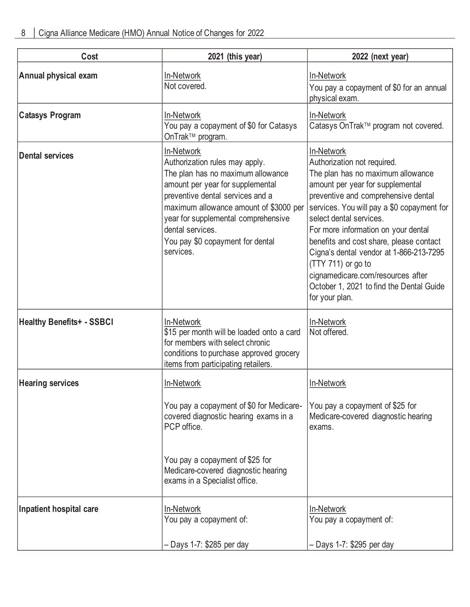| Cost                             | 2021 (this year)                                                                                                                                                                                                                                                                                                | 2022 (next year)                                                                                                                                                                                                                                                                                                                                                                                                                                                                         |
|----------------------------------|-----------------------------------------------------------------------------------------------------------------------------------------------------------------------------------------------------------------------------------------------------------------------------------------------------------------|------------------------------------------------------------------------------------------------------------------------------------------------------------------------------------------------------------------------------------------------------------------------------------------------------------------------------------------------------------------------------------------------------------------------------------------------------------------------------------------|
| Annual physical exam             | In-Network<br>Not covered.                                                                                                                                                                                                                                                                                      | In-Network<br>You pay a copayment of \$0 for an annual<br>physical exam.                                                                                                                                                                                                                                                                                                                                                                                                                 |
| <b>Catasys Program</b>           | In-Network<br>You pay a copayment of \$0 for Catasys<br>OnTrak™ program.                                                                                                                                                                                                                                        | In-Network<br>Catasys OnTrak™ program not covered.                                                                                                                                                                                                                                                                                                                                                                                                                                       |
| <b>Dental services</b>           | In-Network<br>Authorization rules may apply.<br>The plan has no maximum allowance<br>amount per year for supplemental<br>preventive dental services and a<br>maximum allowance amount of \$3000 per<br>year for supplemental comprehensive<br>dental services.<br>You pay \$0 copayment for dental<br>services. | In-Network<br>Authorization not required.<br>The plan has no maximum allowance<br>amount per year for supplemental<br>preventive and comprehensive dental<br>services. You will pay a \$0 copayment for<br>select dental services.<br>For more information on your dental<br>benefits and cost share, please contact<br>Cigna's dental vendor at 1-866-213-7295<br>(TTY 711) or go to<br>cignamedicare.com/resources after<br>October 1, 2021 to find the Dental Guide<br>for your plan. |
| <b>Healthy Benefits+ - SSBCI</b> | In-Network<br>\$15 per month will be loaded onto a card<br>for members with select chronic<br>conditions to purchase approved grocery<br>items from participating retailers.                                                                                                                                    | In-Network<br>Not offered.                                                                                                                                                                                                                                                                                                                                                                                                                                                               |
| <b>Hearing services</b>          | In-Network<br>You pay a copayment of \$0 for Medicare-<br>covered diagnostic hearing exams in a<br>PCP office.<br>You pay a copayment of \$25 for<br>Medicare-covered diagnostic hearing<br>exams in a Specialist office.                                                                                       | In-Network<br>You pay a copayment of \$25 for<br>Medicare-covered diagnostic hearing<br>exams.                                                                                                                                                                                                                                                                                                                                                                                           |
| Inpatient hospital care          | In-Network<br>You pay a copayment of:<br>- Days 1-7: \$285 per day                                                                                                                                                                                                                                              | In-Network<br>You pay a copayment of:<br>– Days 1-7: \$295 per day                                                                                                                                                                                                                                                                                                                                                                                                                       |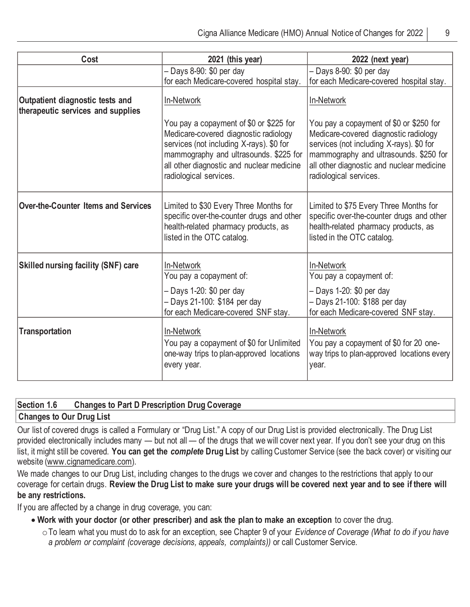| Cost                                                                 | 2021 (this year)                                                                                                                                                                                                                              | 2022 (next year)                                                                                                                                                                                                                              |
|----------------------------------------------------------------------|-----------------------------------------------------------------------------------------------------------------------------------------------------------------------------------------------------------------------------------------------|-----------------------------------------------------------------------------------------------------------------------------------------------------------------------------------------------------------------------------------------------|
|                                                                      | - Days 8-90: \$0 per day                                                                                                                                                                                                                      | - Days 8-90: \$0 per day                                                                                                                                                                                                                      |
|                                                                      | for each Medicare-covered hospital stay.                                                                                                                                                                                                      | for each Medicare-covered hospital stay.                                                                                                                                                                                                      |
| Outpatient diagnostic tests and<br>therapeutic services and supplies | In-Network                                                                                                                                                                                                                                    | In-Network                                                                                                                                                                                                                                    |
|                                                                      | You pay a copayment of \$0 or \$225 for<br>Medicare-covered diagnostic radiology<br>services (not including X-rays). \$0 for<br>mammography and ultrasounds. \$225 for<br>all other diagnostic and nuclear medicine<br>radiological services. | You pay a copayment of \$0 or \$250 for<br>Medicare-covered diagnostic radiology<br>services (not including X-rays). \$0 for<br>mammography and ultrasounds. \$250 for<br>all other diagnostic and nuclear medicine<br>radiological services. |
| <b>Over-the-Counter Items and Services</b>                           | Limited to \$30 Every Three Months for<br>specific over-the-counter drugs and other<br>health-related pharmacy products, as<br>listed in the OTC catalog.                                                                                     | Limited to \$75 Every Three Months for<br>specific over-the-counter drugs and other<br>health-related pharmacy products, as<br>listed in the OTC catalog.                                                                                     |
| <b>Skilled nursing facility (SNF) care</b>                           | In-Network<br>You pay a copayment of:<br>- Days 1-20: \$0 per day<br>- Days 21-100: \$184 per day<br>for each Medicare-covered SNF stay.                                                                                                      | In-Network<br>You pay a copayment of:<br>- Days 1-20: \$0 per day<br>- Days 21-100: \$188 per day<br>for each Medicare-covered SNF stay.                                                                                                      |
| <b>Transportation</b>                                                | In-Network<br>You pay a copayment of \$0 for Unlimited<br>one-way trips to plan-approved locations<br>every year.                                                                                                                             | In-Network<br>You pay a copayment of \$0 for 20 one-<br>way trips to plan-approved locations every<br>year.                                                                                                                                   |

## **Section 1.6 Changes to Part D Prescription Drug Coverage**

#### **Changes to Our Drug List**

 Our list of covered drugs is called a Formulary or "Drug List." A copy of our Drug List is provided electronically. The Drug List provided electronically includes many — but not all — of the drugs that we will cover next year. If you don't see your drug on this list, it might still be covered. **You can get the** *complete* **Drug List** by calling Customer Service (see the back cover) or visiting our website [\(www.cignamedicare.com\).](www.cignamedicare.com) 

 We made changes to our Drug List, including changes to the drugs we cover and changes to the restrictions that apply to our coverage for certain drugs. **Review the Drug List to make sure your drugs will be covered next year and to see if there will be any restrictions.** 

If you are affected by a change in drug coverage, you can:

- **Work with your doctor (or other prescriber) and ask the plan to make an exception** to cover the drug.
	- oTo learn what you must do to ask for an exception, see Chapter 9 of your *Evidence of Coverage (What to do if you have a problem or complaint (coverage decisions, appeals, complaints))* or call Customer Service.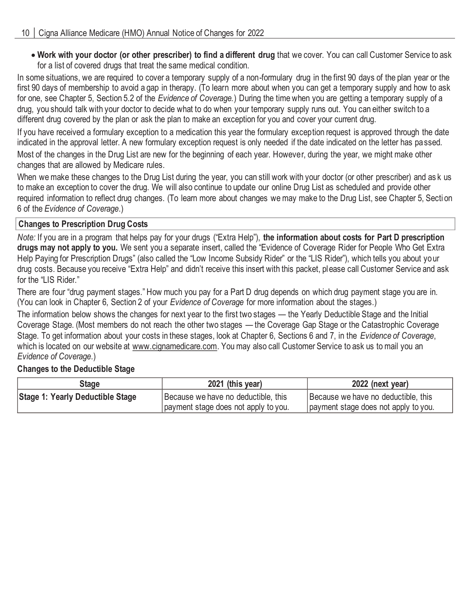• **Work with your doctor (or other prescriber) to find a different drug** that we cover. You can call Customer Service to ask for a list of covered drugs that treat the same medical condition.

 In some situations, we are required to cover a temporary supply of a non-formulary drug in the first 90 days of the plan year or the first 90 days of membership to avoid a gap in therapy. (To learn more about when you can get a temporary supply and how to ask for one, see Chapter 5, Section 5.2 of the *Evidence of Coverage.*) During the time when you are getting a temporary supply of a drug, you should talk with your doctor to decide what to do when your temporary supply runs out. You can either switch to a different drug covered by the plan or ask the plan to make an exception for you and cover your current drug.

 If you have received a formulary exception to a medication this year the formulary exception request is approved through the date indicated in the approval letter. A new formulary exception request is only needed if the date indicated on the letter has pa ssed. Most of the changes in the Drug List are new for the beginning of each year. However, during the year, we might make other changes that are allowed by Medicare rules.

 When we make these changes to the Drug List during the year, you can still work with your doctor (or other prescriber) and as k us to make an exception to cover the drug. We will also continue to update our online Drug List as scheduled and provide other required information to reflect drug changes. (To learn more about changes we may make to the Drug List, see Chapter 5, Secti on 6 of the *Evidence of Coverage*.)

## **Changes to Prescription Drug Costs**

 *Note:* If you are in a program that helps pay for your drugs ("Extra Help"), **the information about costs for Part D prescription**  drugs may not apply to you. We sent you a separate insert, called the "Evidence of Coverage Rider for People Who Get Extra Help Paying for Prescription Drugs" (also called the "Low Income Subsidy Rider" or the "LIS Rider"), which tells you about yo ur drug costs. Because you receive "Extra Help" and didn't receive this insert with this packet, please call Customer Service and ask for the "LIS Rider."

 There are four "drug payment stages." How much you pay for a Part D drug depends on which drug payment stage you are in. (You can look in Chapter 6, Section 2 of your *Evidence of Coverage* for more information about the stages.)

 The information below shows the changes for next year to the first two stages — the Yearly Deductible Stage and the Initial Coverage Stage. (Most members do not reach the other two stages — the Coverage Gap Stage or the Catastrophic Coverage Stage. To get information about your costs in these stages, look at Chapter 6, Sections 6 and 7, in the *Evidence of Coverage*, which is located on our website at [www.cignamedicare.com.](www.cignamedicare.com) You may also call Customer Service to ask us to mail you an  *Evidence of Coverage*.)

## **Changes to the Deductible Stage**

| Stage                            | 2021 (this year)                     | 2022 (next year)                     |
|----------------------------------|--------------------------------------|--------------------------------------|
| Stage 1: Yearly Deductible Stage | Because we have no deductible, this  | Because we have no deductible, this  |
|                                  | payment stage does not apply to you. | payment stage does not apply to you. |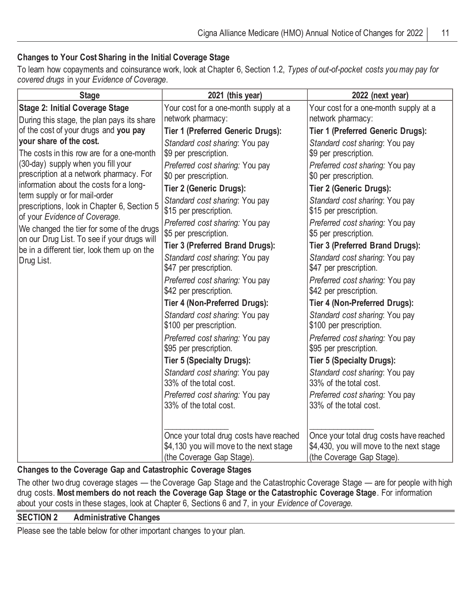## **Changes to Your Cost Sharing in the Initial Coverage Stage**

 To learn how copayments and coinsurance work, look at Chapter 6, Section 1.2, *Types of out-of-pocket costs you may pay for covered drugs* in your *Evidence of Coverage*.

| <b>Stage</b>                                                                             | 2021 (this year)                                                                                                | 2022 (next year)                                                                                                 |
|------------------------------------------------------------------------------------------|-----------------------------------------------------------------------------------------------------------------|------------------------------------------------------------------------------------------------------------------|
| <b>Stage 2: Initial Coverage Stage</b><br>During this stage, the plan pays its share     | Your cost for a one-month supply at a<br>network pharmacy:                                                      | Your cost for a one-month supply at a<br>network pharmacy:                                                       |
| of the cost of your drugs and you pay                                                    | <b>Tier 1 (Preferred Generic Drugs):</b>                                                                        | <b>Tier 1 (Preferred Generic Drugs):</b>                                                                         |
| your share of the cost.<br>The costs in this row are for a one-month                     | Standard cost sharing: You pay<br>\$9 per prescription.                                                         | Standard cost sharing: You pay<br>\$9 per prescription.                                                          |
| (30-day) supply when you fill your<br>prescription at a network pharmacy. For            | Preferred cost sharing: You pay<br>\$0 per prescription.                                                        | Preferred cost sharing: You pay<br>\$0 per prescription.                                                         |
| information about the costs for a long-<br>term supply or for mail-order                 | Tier 2 (Generic Drugs):                                                                                         | <b>Tier 2 (Generic Drugs):</b>                                                                                   |
| prescriptions, look in Chapter 6, Section 5<br>of your Evidence of Coverage.             | Standard cost sharing: You pay<br>\$15 per prescription.                                                        | Standard cost sharing: You pay<br>\$15 per prescription.                                                         |
| We changed the tier for some of the drugs<br>on our Drug List. To see if your drugs will | Preferred cost sharing: You pay<br>\$5 per prescription.                                                        | Preferred cost sharing: You pay<br>\$5 per prescription.                                                         |
| be in a different tier, look them up on the                                              | Tier 3 (Preferred Brand Drugs):                                                                                 | Tier 3 (Preferred Brand Drugs):                                                                                  |
| Drug List.                                                                               | Standard cost sharing: You pay<br>\$47 per prescription.                                                        | Standard cost sharing: You pay<br>\$47 per prescription.                                                         |
|                                                                                          | Preferred cost sharing: You pay<br>\$42 per prescription.                                                       | Preferred cost sharing: You pay<br>\$42 per prescription.                                                        |
|                                                                                          | Tier 4 (Non-Preferred Drugs):                                                                                   | Tier 4 (Non-Preferred Drugs):                                                                                    |
|                                                                                          | Standard cost sharing: You pay<br>\$100 per prescription.                                                       | Standard cost sharing: You pay<br>\$100 per prescription.                                                        |
|                                                                                          | Preferred cost sharing: You pay<br>\$95 per prescription.                                                       | Preferred cost sharing: You pay<br>\$95 per prescription.                                                        |
|                                                                                          | <b>Tier 5 (Specialty Drugs):</b>                                                                                | <b>Tier 5 (Specialty Drugs):</b>                                                                                 |
|                                                                                          | Standard cost sharing: You pay<br>33% of the total cost.                                                        | Standard cost sharing: You pay<br>33% of the total cost.                                                         |
|                                                                                          | Preferred cost sharing: You pay<br>33% of the total cost.                                                       | Preferred cost sharing: You pay<br>33% of the total cost.                                                        |
|                                                                                          | Once your total drug costs have reached<br>\$4,130 you will move to the next stage<br>(the Coverage Gap Stage). | Once your total drug costs have reached<br>\$4,430, you will move to the next stage<br>(the Coverage Gap Stage). |

## **Changes to the Coverage Gap and Catastrophic Coverage Stages**

 The other two drug coverage stages — the Coverage Gap Stage and the Catastrophic Coverage Stage — are for people with high drug costs. **Most members do not reach the Coverage Gap Stage or the Catastrophic Coverage Stage**. For information about your costs in these stages, look at Chapter 6, Sections 6 and 7, in your *Evidence of Coverage.* 

#### **SECTION 2 Administrative Changes**

Please see the table below for other important changes to your plan.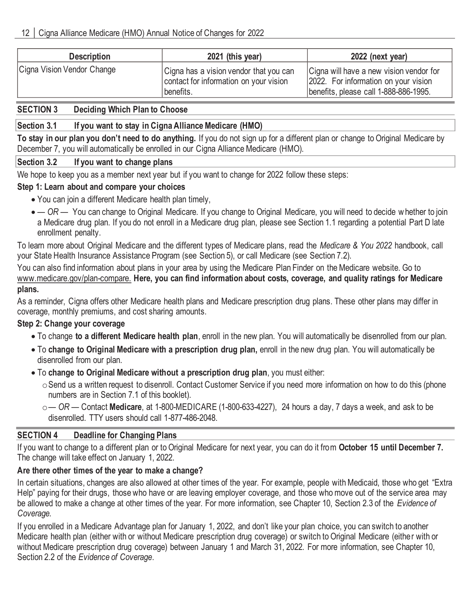| <b>Description</b>         | 2021 (this year)                                                                              | 2022 (next year)                                                                                                         |
|----------------------------|-----------------------------------------------------------------------------------------------|--------------------------------------------------------------------------------------------------------------------------|
| Cigna Vision Vendor Change | Cigna has a vision vendor that you can<br>contact for information on your vision<br>benefits. | Cigna will have a new vision vendor for<br>2022. For information on your vision<br>benefits, please call 1-888-886-1995. |

### **SECTION 3 Deciding Which Plan to Choose**

## **Section 3.1 If you want to stay in Cigna Alliance Medicare (HMO)**

 **To stay in our plan you don't need to do anything.** If you do not sign up for a different plan or change to Original Medicare by December 7, you will automatically be enrolled in our Cigna Alliance Medicare (HMO).

## **Section 3.2 If you want to change plans**

We hope to keep you as a member next year but if you want to change for 2022 follow these steps:

## **Step 1: Learn about and compare your choices**

- You can join a different Medicare health plan timely,
- • *— OR —* You can change to Original Medicare. If you change to Original Medicare, you will need to decide w hether to join a Medicare drug plan. If you do not enroll in a Medicare drug plan, please see Section 1.1 regarding a potential Part D late enrollment penalty.

 To learn more about Original Medicare and the different types of Medicare plans, read the *Medicare & You 2022* handbook, call your State Health Insurance Assistance Program (see Section 5), or call Medicare (see Section 7.2).

 You can also find information about plans in your area by using the Medicare Plan Finder on the Medicare website. Go to  www.medicare.gov/plan-compare. **Here, you can find information about costs, coverage, and quality ratings for Medicare plans.** 

 As a reminder, Cigna offers other Medicare health plans and Medicare prescription drug plans. These other plans may differ in coverage, monthly premiums, and cost sharing amounts.

## **Step 2: Change your coverage**

- To change **to a different Medicare health plan**, enroll in the new plan. You will automatically be disenrolled from our plan.
- To **change to Original Medicare with a prescription drug plan,** enroll in the new drug plan. You will automatically be disenrolled from our plan.
- To **change to Original Medicare without a prescription drug plan**, you must either:
	- $\circ$ Send us a written request to disenroll. Contact Customer Service if you need more information on how to do this (phone numbers are in Section 7.1 of this booklet).
	- o*— OR —* Contact **Medicare**, at 1-800-MEDICARE (1-800-633-4227), 24 hours a day, 7 days a week, and ask to be disenrolled. TTY users should call 1-877-486-2048.

## **SECTION 4 Deadline for Changing Plans**

 If you want to change to a different plan or to Original Medicare for next year, you can do it from **October 15 until December 7.**  The change will take effect on January 1, 2022.

## **Are there other times of the year to make a change?**

 In certain situations, changes are also allowed at other times of the year. For example, people with Medicaid, those who get "Extra Help" paying for their drugs, those who have or are leaving employer coverage, and those who move out of the service area may be allowed to make a change at other times of the year. For more information, see Chapter 10, Section 2.3 of the *Evidence of Coverage.* 

 If you enrolled in a Medicare Advantage plan for January 1, 2022, and don't like your plan choice, you can switch to another Medicare health plan (either with or without Medicare prescription drug coverage) or switch to Original Medicare (either with or without Medicare prescription drug coverage) between January 1 and March 31, 2022. For more information, see Chapter 10, Section 2.2 of the *Evidence of Coverage*.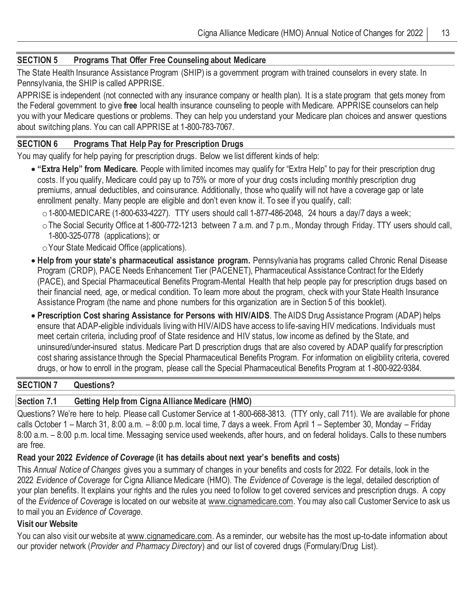### **SECTION 5 Programs That Offer Free Counseling about Medicare**

 The State Health Insurance Assistance Program (SHIP) is a government program with trained counselors in every state. In Pennsylvania, the SHIP is called APPRISE.

 APPRISE is independent (not connected with any insurance company or health plan). It is a state program that gets money from the Federal government to give **free** local health insurance counseling to people with Medicare. APPRISE counselors can help you with your Medicare questions or problems. They can help you understand your Medicare plan choices and answer questions about switching plans. You can call APPRISE at 1-800-783-7067.

#### **SECTION 6 Programs That Help Pay for Prescription Drugs**

You may qualify for help paying for prescription drugs. Below we list different kinds of help:

- **"Extra Help" from Medicare.** People with limited incomes may qualify for "Extra Help" to pay for their prescription drug costs. If you qualify, Medicare could pay up to 75% or more of your drug costs including monthly prescription drug premiums, annual deductibles, and coinsurance. Additionally, those who qualify will not have a coverage gap or late enrollment penalty. Many people are eligible and don't even know it. To see if you qualify, call:
	- $\circ$  1-800-MEDICARE (1-800-633-4227). TTY users should call 1-877-486-2048, 24 hours a day/7 days a week;
	- oThe Social Security Office at 1-800-772-1213 between 7 a.m. and 7 p.m., Monday through Friday. TTY users should call, 1-800-325-0778 (applications); or
	- $\circ$  Your State Medicaid Office (applications).
- **Help from your state's pharmaceutical assistance program.** Pennsylvania has programs called Chronic Renal Disease Program (CRDP), PACE Needs Enhancement Tier (PACENET), Pharmaceutical Assistance Contract for the Elderly (PACE), and Special Pharmaceutical Benefits Program-Mental Health that help people pay for prescription drugs based on their financial need, age, or medical condition. To learn more about the program, check with your State Health Insurance Assistance Program (the name and phone numbers for this organization are in Section 5 of this booklet).
- **Prescription Cost sharing Assistance for Persons with HIV/AIDS**. The AIDS Drug Assistance Program (ADAP) helps ensure that ADAP-eligible individuals living with HIV/AIDS have access to life-saving HIV medications. Individuals must meet certain criteria, including proof of State residence and HIV status, low income as defined by the State, and uninsured/under-insured status. Medicare Part D prescription drugs that are also covered by ADAP qualify for prescription cost sharing assistance through the Special Pharmaceutical Benefits Program. For information on eligibility criteria, covered drugs, or how to enroll in the program, please call the Special Pharmaceutical Benefits Program at 1-800-922-9384.

## **SECTION 7 Questions?**

## **Section 7.1 Getting Help from Cigna Alliance Medicare (HMO)**

 Questions? We're here to help. Please call Customer Service at 1-800-668-3813. (TTY only, call 711). We are available for phone calls October 1 – March 31, 8:00 a.m. – 8:00 p.m. local time, 7 days a week. From April 1 – September 30, Monday – Friday 8:00 a.m. – 8:00 p.m. local time. Messaging service used weekends, after hours, and on federal holidays. Calls to these numbers are free.

#### **Read your 2022** *Evidence of Coverage* **(it has details about next year's benefits and costs)**

 This *Annual Notice of Changes* gives you a summary of changes in your benefits and costs for 2022. For details, look in the  2022 *Evidence of Coverage* for Cigna Alliance Medicare (HMO)*.* The *Evidence of Coverage* is the legal, detailed description of your plan benefits. It explains your rights and the rules you need to follow to get covered services and prescription drugs. A copy of the *Evidence of Coverage* is located on our website at [www.cignamedicare.com.](www.cignamedicare.com) You may also call Customer Service to ask us to mail you an *Evidence of Coverage*.

#### **Visit our Website**

You can also visit our website at [www.cignamedicare.com.](www.cignamedicare.com) As a reminder, our website has the most up-to-date information about our provider network (*Provider and Pharmacy Directory*) and our list of covered drugs (Formulary/Drug List).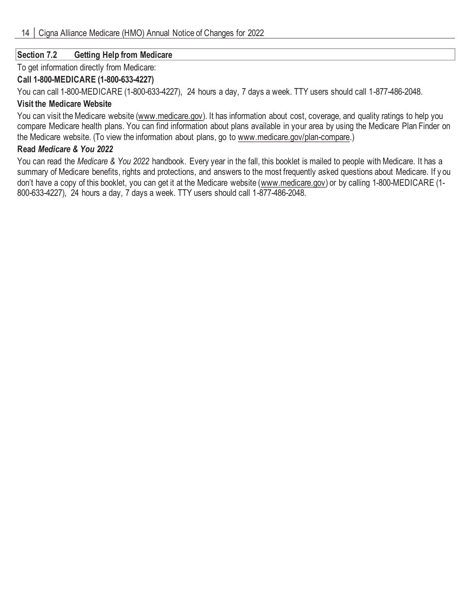## **Section 7.2 Getting Help from Medicare**

To get information directly from Medicare:

## **Call 1-800-MEDICARE (1-800-633-4227)**

You can call 1-800-MEDICARE (1-800-633-4227), 24 hours a day, 7 days a week. TTY users should call 1-877-486-2048.

## **Visit the Medicare Website**

You can visit the Medicare website [\(www.medicare.gov\). I](www.medicare.gov)t has information about cost, coverage, and quality ratings to help you compare Medicare health plans. You can find information about plans available in your area by using the Medicare Plan Finder on the Medicare website. (To view the information about plans, go to www.medicare.gov/plan-compare.)

### **Read** *Medicare & You 2022*

 You can read the *Medicare & You 2022* handbook. Every year in the fall, this booklet is mailed to people with Medicare. It has a summary of Medicare benefits, rights and protections, and answers to the most frequently asked questions about Medicare. If y ou don't have a copy of this booklet, you can get it at the Medicare website [\(www.medicare.gov\) o](www.medicare.gov)r by calling 1-800-MEDICARE (1-800-633-4227), 24 hours a day, 7 days a week. TTY users should call 1-877-486-2048.